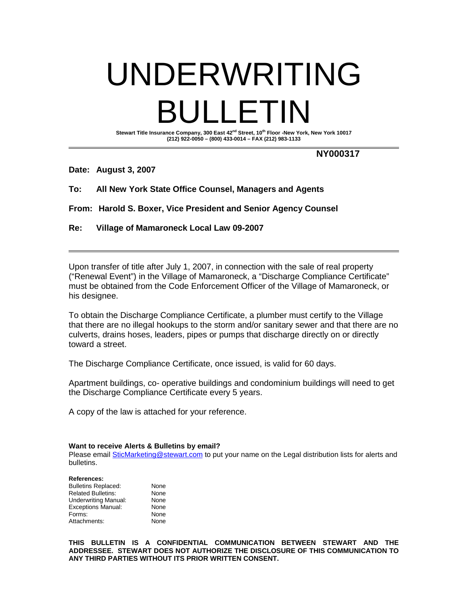# UNDERWRITING BULLETIN

**Stewart Title Insurance Company, 300 East 42nd Street, 10th Floor -New York, New York 10017 (212) 922-0050 – (800) 433-0014 – FAX (212) 983-1133**

**NY000317**

**Date: August 3, 2007**

**To: All New York State Office Counsel, Managers and Agents**

**From: Harold S. Boxer, Vice President and Senior Agency Counsel**

**Re: Village of Mamaroneck Local Law 09-2007**

Upon transfer of title after July 1, 2007, in connection with the sale of real property ("Renewal Event") in the Village of Mamaroneck, a "Discharge Compliance Certificate" must be obtained from the Code Enforcement Officer of the Village of Mamaroneck, or his designee.

To obtain the Discharge Compliance Certificate, a plumber must certify to the Village that there are no illegal hookups to the storm and/or sanitary sewer and that there are no culverts, drains hoses, leaders, pipes or pumps that discharge directly on or directly toward a street.

The Discharge Compliance Certificate, once issued, is valid for 60 days.

Apartment buildings, co- operative buildings and condominium buildings will need to get the Discharge Compliance Certificate every 5 years.

A copy of the law is attached for your reference.

**Want to receive Alerts & Bulletins by email?**

Please email SticMarketing@stewart.com to put your name on the Legal distribution lists for alerts and bulletins.

## **References:**

| <b>Bulletins Replaced:</b>  | None |
|-----------------------------|------|
| <b>Related Bulletins:</b>   | None |
| <b>Underwriting Manual:</b> | None |
| <b>Exceptions Manual:</b>   | None |
| Forms:                      | None |
| Attachments:                | None |

**THIS BULLETIN IS A CONFIDENTIAL COMMUNICATION BETWEEN STEWART AND THE ADDRESSEE. STEWART DOES NOT AUTHORIZE THE DISCLOSURE OF THIS COMMUNICATION TO ANY THIRD PARTIES WITHOUT ITS PRIOR WRITTEN CONSENT.**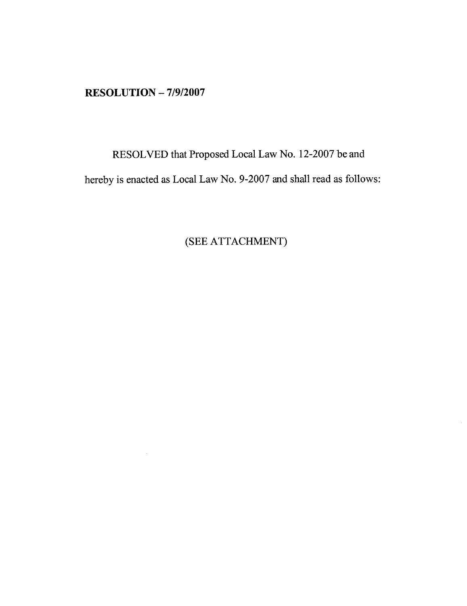$RESOLUTION - 7/9/2007$ 

 $\mathcal{A}^{\mathcal{A}}$ 

RESOLVED that Proposed Local Law No. 12-2007 be and hereby is enacted as Local Law No. 9-2007 and shall read as follows:

(SEE ATTACHMENT)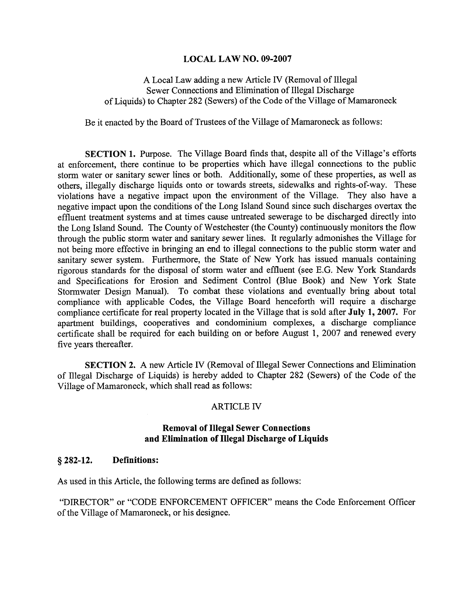# **LOCAL LAW NO. 09-2007**

A Local Law adding a new Article IV (Removal of Illegal Sewer Connections and Elimination of Illegal Discharge of Liquids) to Chapter 282 (Sewers) of the Code of the Village of Mamaroneck

Be it enacted by the Board of Trustees of the Village of Mamaroneck as follows:

SECTION 1. Purpose. The Village Board finds that, despite all of the Village's efforts at enforcement, there continue to be properties which have illegal connections to the public storm water or sanitary sewer lines or both. Additionally, some of these properties, as well as others, illegally discharge liquids onto or towards streets, sidewalks and rights-of-way. These violations have a negative impact upon the environment of the Village. They also have a negative impact upon the conditions of the Long Island Sound since such discharges overtax the effluent treatment systems and at times cause untreated sewerage to be discharged directly into the Long Island Sound. The County of Westchester (the County) continuously monitors the flow through the public storm water and sanitary sewer lines. It regularly admonishes the Village for not being more effective in bringing an end to illegal connections to the public storm water and sanitary sewer system. Furthermore, the State of New York has issued manuals containing rigorous standards for the disposal of storm water and effluent (see E.G. New York Standards and Specifications for Erosion and Sediment Control (Blue Book) and New York State Stormwater Design Manual). To combat these violations and eventually bring about total compliance with applicable Codes, the Village Board henceforth will require a discharge compliance certificate for real property located in the Village that is sold after July 1, 2007. For apartment buildings, cooperatives and condominium complexes, a discharge compliance certificate shall be required for each building on or before August 1, 2007 and renewed every five years thereafter.

SECTION 2. A new Article IV (Removal of Illegal Sewer Connections and Elimination of Illegal Discharge of Liquids) is hereby added to Chapter 282 (Sewers) of the Code of the Village of Mamaroneck, which shall read as follows:

## **ARTICLE IV**

# **Removal of Illegal Sewer Connections** and Elimination of Illegal Discharge of Liquids

#### $§$  282-12. **Definitions:**

As used in this Article, the following terms are defined as follows:

"DIRECTOR" or "CODE ENFORCEMENT OFFICER" means the Code Enforcement Officer of the Village of Mamaroneck, or his designee.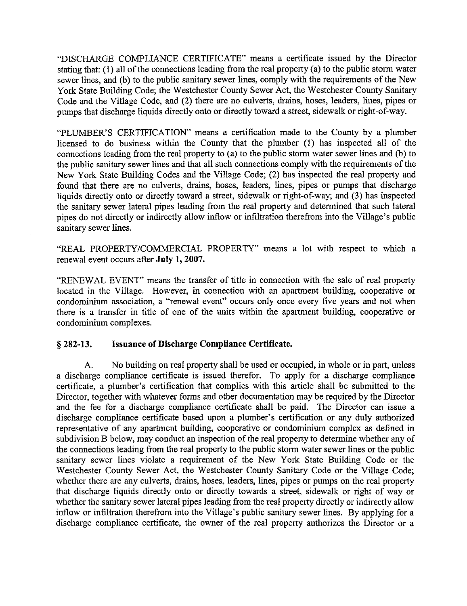"DISCHARGE COMPLIANCE CERTIFICATE" means a certificate issued by the Director stating that: (1) all of the connections leading from the real property (a) to the public storm water sewer lines, and (b) to the public sanitary sewer lines, comply with the requirements of the New York State Building Code; the Westchester County Sewer Act, the Westchester County Sanitary Code and the Village Code, and (2) there are no culverts, drains, hoses, leaders, lines, pipes or numps that discharge liquids directly onto or directly toward a street, sidewalk or right-of-way.

"PLUMBER'S CERTIFICATION" means a certification made to the County by a plumber licensed to do business within the County that the plumber (1) has inspected all of the connections leading from the real property to (a) to the public storm water sewer lines and (b) to the public sanitary sewer lines and that all such connections comply with the requirements of the New York State Building Codes and the Village Code; (2) has inspected the real property and found that there are no culverts, drains, hoses, leaders, lines, pipes or pumps that discharge liquids directly onto or directly toward a street, sidewalk or right-of-way; and (3) has inspected the sanitary sewer lateral pipes leading from the real property and determined that such lateral pipes do not directly or indirectly allow inflow or infiltration therefrom into the Village's public sanitary sewer lines.

"REAL PROPERTY/COMMERCIAL PROPERTY" means a lot with respect to which a renewal event occurs after July 1, 2007.

"RENEWAL EVENT" means the transfer of title in connection with the sale of real property located in the Village. However, in connection with an apartment building, cooperative or condominium association, a "renewal event" occurs only once every five years and not when there is a transfer in title of one of the units within the apartment building, cooperative or condominium complexes.

#### $§$  282-13. **Issuance of Discharge Compliance Certificate.**

 $\mathbf{A}$ . No building on real property shall be used or occupied, in whole or in part, unless a discharge compliance certificate is issued therefor. To apply for a discharge compliance certificate, a plumber's certification that complies with this article shall be submitted to the Director, together with whatever forms and other documentation may be required by the Director and the fee for a discharge compliance certificate shall be paid. The Director can issue a discharge compliance certificate based upon a plumber's certification or any duly authorized representative of any apartment building, cooperative or condominium complex as defined in subdivision B below, may conduct an inspection of the real property to determine whether any of the connections leading from the real property to the public storm water sewer lines or the public sanitary sewer lines violate a requirement of the New York State Building Code or the Westchester County Sewer Act, the Westchester County Sanitary Code or the Village Code: whether there are any culverts, drains, hoses, leaders, lines, pipes or pumps on the real property that discharge liquids directly onto or directly towards a street, sidewalk or right of way or whether the sanitary sewer lateral pipes leading from the real property directly or indirectly allow inflow or infiltration therefrom into the Village's public sanitary sewer lines. By applying for a discharge compliance certificate, the owner of the real property authorizes the Director or a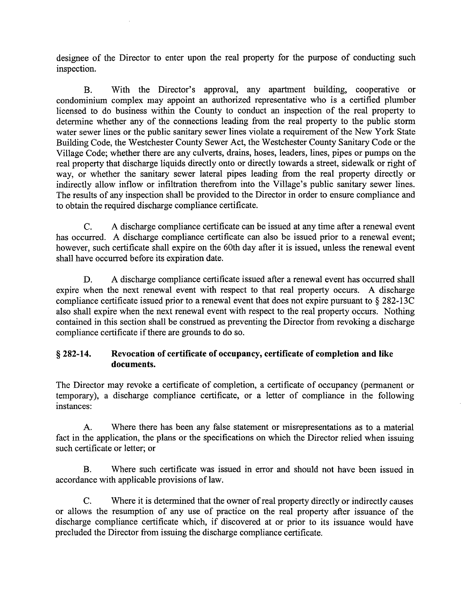designee of the Director to enter upon the real property for the purpose of conducting such inspection.

With the Director's approval, any apartment building, cooperative or  $\mathbf{B}$ . condominium complex may appoint an authorized representative who is a certified plumber licensed to do business within the County to conduct an inspection of the real property to determine whether any of the connections leading from the real property to the public storm water sewer lines or the public sanitary sewer lines violate a requirement of the New York State Building Code, the Westchester County Sewer Act, the Westchester County Sanitary Code or the Village Code: whether there are any culverts, drains, hoses, leaders, lines, pipes or pumps on the real property that discharge liquids directly onto or directly towards a street, sidewalk or right of way, or whether the sanitary sewer lateral pipes leading from the real property directly or indirectly allow inflow or infiltration therefrom into the Village's public sanitary sewer lines. The results of any inspection shall be provided to the Director in order to ensure compliance and to obtain the required discharge compliance certificate.

A discharge compliance certificate can be issued at any time after a renewal event  $C_{\cdot}$ has occurred. A discharge compliance certificate can also be issued prior to a renewal event; however, such certificate shall expire on the 60th day after it is issued, unless the renewal event shall have occurred before its expiration date.

A discharge compliance certificate issued after a renewal event has occurred shall D. expire when the next renewal event with respect to that real property occurs. A discharge compliance certificate issued prior to a renewal event that does not expire pursuant to  $\S 282-13C$ also shall expire when the next renewal event with respect to the real property occurs. Nothing contained in this section shall be construed as preventing the Director from revoking a discharge compliance certificate if there are grounds to do so.

### Revocation of certificate of occupancy, certificate of completion and like  $§$  282-14. documents.

The Director may revoke a certificate of completion, a certificate of occupancy (permanent or temporary), a discharge compliance certificate, or a letter of compliance in the following instances:

 $A<sub>1</sub>$ Where there has been any false statement or misrepresentations as to a material fact in the application, the plans or the specifications on which the Director relied when issuing such certificate or letter; or

Where such certificate was issued in error and should not have been issued in  $\mathbf{R}$ accordance with applicable provisions of law.

 $C_{\cdot}$ Where it is determined that the owner of real property directly or indirectly causes or allows the resumption of any use of practice on the real property after issuance of the discharge compliance certificate which, if discovered at or prior to its issuance would have precluded the Director from issuing the discharge compliance certificate.